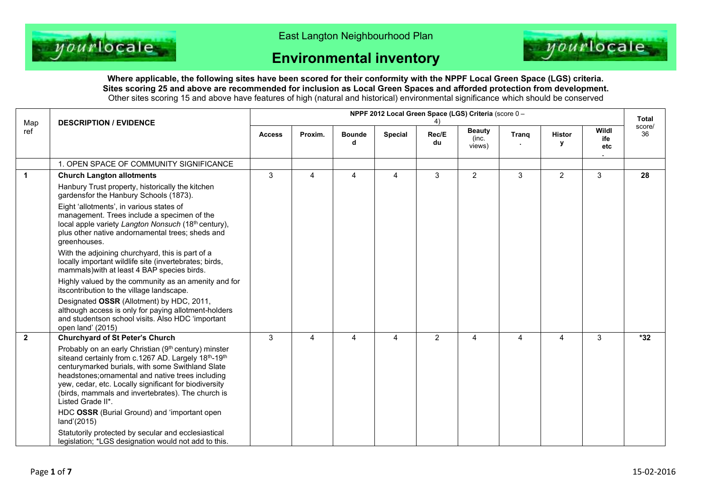

East Langton Neighbourhood Plan

## **Environmental inventory**



**Where applicable, the following sites have been scored for their conformity with the NPPF Local Green Space (LGS) criteria. Sites scoring 25 and above are recommended for inclusion as Local Green Spaces and afforded protection from development.** Other sites scoring 15 and above have features of high (natural and historical) environmental significance which should be conserved

| Map            | <b>DESCRIPTION / EVIDENCE</b>                                                                                                                                                                                                                                                                                                                           | NPPF 2012 Local Green Space (LGS) Criteria (score 0 - |                |                    |                |                |                                  |       |                    |                     |              |
|----------------|---------------------------------------------------------------------------------------------------------------------------------------------------------------------------------------------------------------------------------------------------------------------------------------------------------------------------------------------------------|-------------------------------------------------------|----------------|--------------------|----------------|----------------|----------------------------------|-------|--------------------|---------------------|--------------|
| ref            |                                                                                                                                                                                                                                                                                                                                                         | <b>Access</b>                                         | Proxim.        | <b>Bounde</b><br>d | <b>Special</b> | Rec/E<br>du    | <b>Beauty</b><br>(inc.<br>views) | Trang | <b>Histor</b><br>у | Wildl<br>ife<br>etc | score/<br>36 |
|                | 1. OPEN SPACE OF COMMUNITY SIGNIFICANCE                                                                                                                                                                                                                                                                                                                 |                                                       |                |                    |                |                |                                  |       |                    |                     |              |
| $\overline{1}$ | <b>Church Langton allotments</b><br>Hanbury Trust property, historically the kitchen<br>gardensfor the Hanbury Schools (1873).                                                                                                                                                                                                                          | 3                                                     | $\overline{4}$ | $\overline{A}$     | $\overline{4}$ | 3              | $\overline{2}$                   | 3     | $\overline{2}$     | 3                   | 28           |
|                | Eight 'allotments', in various states of<br>management. Trees include a specimen of the<br>local apple variety Langton Nonsuch (18th century),<br>plus other native andornamental trees; sheds and<br>greenhouses.                                                                                                                                      |                                                       |                |                    |                |                |                                  |       |                    |                     |              |
|                | With the adjoining churchyard, this is part of a<br>locally important wildlife site (invertebrates; birds,<br>mammals) with at least 4 BAP species birds.                                                                                                                                                                                               |                                                       |                |                    |                |                |                                  |       |                    |                     |              |
|                | Highly valued by the community as an amenity and for<br>itscontribution to the village landscape.                                                                                                                                                                                                                                                       |                                                       |                |                    |                |                |                                  |       |                    |                     |              |
|                | Designated OSSR (Allotment) by HDC, 2011,<br>although access is only for paying allotment-holders<br>and studentson school visits. Also HDC 'important<br>open land' (2015)                                                                                                                                                                             |                                                       |                |                    |                |                |                                  |       |                    |                     |              |
| $\overline{2}$ | <b>Churchyard of St Peter's Church</b>                                                                                                                                                                                                                                                                                                                  | 3                                                     | 4              | 4                  | 4              | $\overline{2}$ | 4                                | 4     | 4                  | 3                   | $*32$        |
|                | Probably on an early Christian (9th century) minster<br>siteand certainly from c.1267 AD. Largely 18th-19th<br>centurymarked burials, with some Swithland Slate<br>headstones; ornamental and native trees including<br>yew, cedar, etc. Locally significant for biodiversity<br>(birds, mammals and invertebrates). The church is<br>Listed Grade II*. |                                                       |                |                    |                |                |                                  |       |                    |                     |              |
|                | HDC OSSR (Burial Ground) and 'important open<br>land'(2015)                                                                                                                                                                                                                                                                                             |                                                       |                |                    |                |                |                                  |       |                    |                     |              |
|                | Statutorily protected by secular and ecclesiastical<br>legislation; *LGS designation would not add to this.                                                                                                                                                                                                                                             |                                                       |                |                    |                |                |                                  |       |                    |                     |              |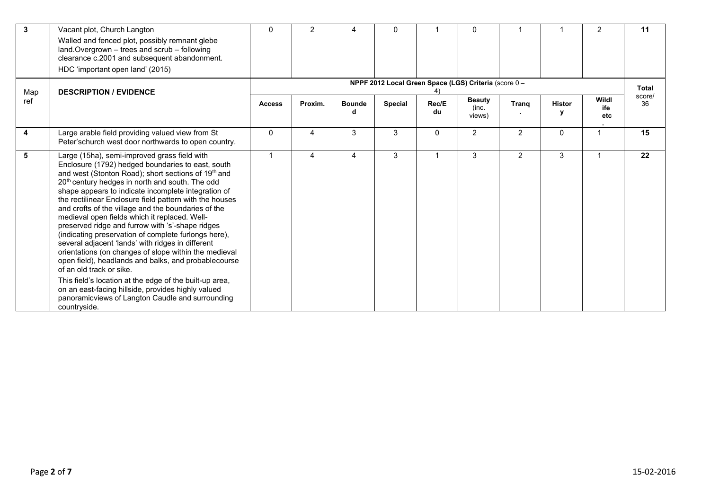| 3   | Vacant plot, Church Langton<br>Walled and fenced plot, possibly remnant glebe<br>land. Overgrown - trees and scrub - following<br>clearance c.2001 and subsequent abandonment.<br>HDC 'important open land' (2015)                                                                                                                                                                                                                                                                                                                                                                                                                                                                                                                                                                                                                                                                                                                                   | $\mathbf{0}$   | 2                                                     | Δ                  | $\Omega$       |             | 0                                |                |               | 2                   | 11           |  |  |
|-----|------------------------------------------------------------------------------------------------------------------------------------------------------------------------------------------------------------------------------------------------------------------------------------------------------------------------------------------------------------------------------------------------------------------------------------------------------------------------------------------------------------------------------------------------------------------------------------------------------------------------------------------------------------------------------------------------------------------------------------------------------------------------------------------------------------------------------------------------------------------------------------------------------------------------------------------------------|----------------|-------------------------------------------------------|--------------------|----------------|-------------|----------------------------------|----------------|---------------|---------------------|--------------|--|--|
| Map | <b>DESCRIPTION / EVIDENCE</b>                                                                                                                                                                                                                                                                                                                                                                                                                                                                                                                                                                                                                                                                                                                                                                                                                                                                                                                        |                | NPPF 2012 Local Green Space (LGS) Criteria (score 0 - |                    |                |             |                                  |                |               |                     |              |  |  |
| ref |                                                                                                                                                                                                                                                                                                                                                                                                                                                                                                                                                                                                                                                                                                                                                                                                                                                                                                                                                      | <b>Access</b>  | Proxim.                                               | <b>Bounde</b><br>d | <b>Special</b> | Rec/E<br>du | <b>Beauty</b><br>(inc.<br>views) | Trang          | <b>Histor</b> | Wildl<br>ife<br>etc | score/<br>36 |  |  |
| 4   | Large arable field providing valued view from St<br>Peter'schurch west door northwards to open country.                                                                                                                                                                                                                                                                                                                                                                                                                                                                                                                                                                                                                                                                                                                                                                                                                                              | $\mathbf{0}$   | 4                                                     | 3                  | 3              | $\Omega$    | 2                                | $\overline{2}$ | $\Omega$      |                     | 15           |  |  |
| 5   | Large (15ha), semi-improved grass field with<br>Enclosure (1792) hedged boundaries to east, south<br>and west (Stonton Road); short sections of 19th and<br>20 <sup>th</sup> century hedges in north and south. The odd<br>shape appears to indicate incomplete integration of<br>the rectilinear Enclosure field pattern with the houses<br>and crofts of the village and the boundaries of the<br>medieval open fields which it replaced. Well-<br>preserved ridge and furrow with 's'-shape ridges<br>(indicating preservation of complete furlongs here),<br>several adjacent 'lands' with ridges in different<br>orientations (on changes of slope within the medieval<br>open field), headlands and balks, and probablecourse<br>of an old track or sike.<br>This field's location at the edge of the built-up area,<br>on an east-facing hillside, provides highly valued<br>panoramicviews of Langton Caudle and surrounding<br>countryside. | $\overline{1}$ | 4                                                     | 4                  | 3              |             | 3                                | $\overline{2}$ | 3             | $\overline{1}$      | 22           |  |  |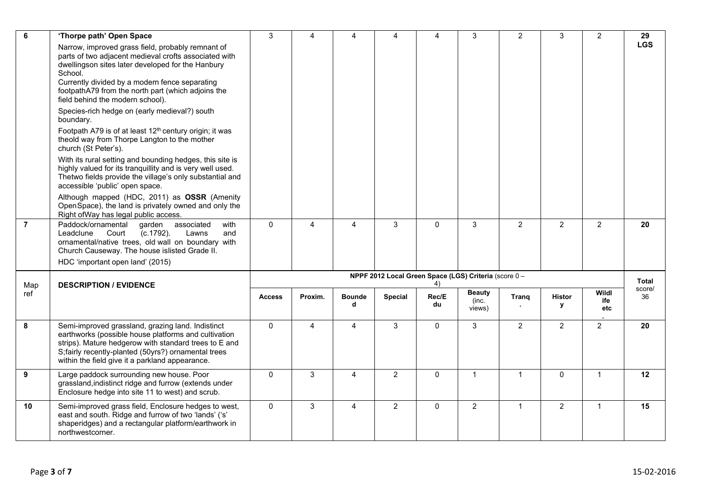| 6                | 'Thorpe path' Open Space                                                                                                                                                                                                                                                                                               | 3                                                           | 4              | 4                  | 4              | 4            | 3                                | $\overline{2}$ | 3                  | $\overline{2}$      | 29           |
|------------------|------------------------------------------------------------------------------------------------------------------------------------------------------------------------------------------------------------------------------------------------------------------------------------------------------------------------|-------------------------------------------------------------|----------------|--------------------|----------------|--------------|----------------------------------|----------------|--------------------|---------------------|--------------|
|                  | Narrow, improved grass field, probably remnant of<br>parts of two adjacent medieval crofts associated with<br>dwellingson sites later developed for the Hanbury<br>School.<br>Currently divided by a modern fence separating<br>footpathA79 from the north part (which adjoins the<br>field behind the modern school). |                                                             |                |                    |                |              |                                  |                |                    |                     | <b>LGS</b>   |
|                  | Species-rich hedge on (early medieval?) south<br>boundary.                                                                                                                                                                                                                                                             |                                                             |                |                    |                |              |                                  |                |                    |                     |              |
|                  | Footpath A79 is of at least 12 <sup>th</sup> century origin; it was<br>theold way from Thorpe Langton to the mother<br>church (St Peter's).                                                                                                                                                                            |                                                             |                |                    |                |              |                                  |                |                    |                     |              |
|                  | With its rural setting and bounding hedges, this site is<br>highly valued for its tranquillity and is very well used.<br>Thetwo fields provide the village's only substantial and<br>accessible 'public' open space.                                                                                                   |                                                             |                |                    |                |              |                                  |                |                    |                     |              |
|                  | Although mapped (HDC, 2011) as OSSR (Amenity<br>OpenSpace), the land is privately owned and only the<br>Right of Way has legal public access.                                                                                                                                                                          |                                                             |                |                    |                |              |                                  |                |                    |                     |              |
| $\overline{7}$   | Paddock/ornamental<br>garden<br>associated<br>with<br>Leadclune<br>Court<br>$(c.1792)$ .<br>Lawns<br>and<br>ornamental/native trees, old wall on boundary with<br>Church Causeway. The house islisted Grade II.                                                                                                        | $\mathbf{0}$                                                | 4              | 4                  | 3              | $\mathbf{0}$ | 3                                | $\overline{2}$ | $\overline{2}$     | $\overline{2}$      | 20           |
|                  | HDC 'important open land' (2015)                                                                                                                                                                                                                                                                                       |                                                             |                |                    |                |              |                                  |                |                    |                     |              |
| Map              | <b>DESCRIPTION / EVIDENCE</b>                                                                                                                                                                                                                                                                                          | NPPF 2012 Local Green Space (LGS) Criteria (score 0 -<br>4) |                |                    |                |              |                                  |                |                    |                     |              |
| ref              |                                                                                                                                                                                                                                                                                                                        | <b>Access</b>                                               | Proxim.        | <b>Bounde</b><br>d | <b>Special</b> | Rec/E<br>du  | <b>Beauty</b><br>(inc.<br>views) | Trang          | <b>Histor</b><br>у | Wildl<br>ife<br>etc | score/<br>36 |
| 8                | Semi-improved grassland, grazing land. Indistinct<br>earthworks (possible house platforms and cultivation<br>strips). Mature hedgerow with standard trees to E and<br>S;fairly recently-planted (50yrs?) ornamental trees<br>within the field give it a parkland appearance.                                           | 0                                                           | $\overline{4}$ | $\overline{4}$     | 3              | $\mathbf 0$  | 3                                | $\overline{2}$ | $\overline{2}$     | $\overline{2}$      | 20           |
| $\boldsymbol{9}$ | Large paddock surrounding new house. Poor<br>grassland, indistinct ridge and furrow (extends under<br>Enclosure hedge into site 11 to west) and scrub.                                                                                                                                                                 | $\mathbf{0}$                                                | $\mathbf{3}$   | $\overline{4}$     | $\overline{2}$ | $\mathbf 0$  | $\mathbf{1}$                     | $\mathbf{1}$   | $\Omega$           | $\mathbf{1}$        | 12           |
| 10               | Semi-improved grass field, Enclosure hedges to west,<br>east and south. Ridge and furrow of two 'lands' ('s'                                                                                                                                                                                                           | $\mathbf{0}$                                                | $\mathbf{3}$   | $\overline{4}$     | $\overline{2}$ | $\mathbf{0}$ | $\overline{2}$                   | $\mathbf{1}$   | $\overline{2}$     | $\mathbf{1}$        | 15           |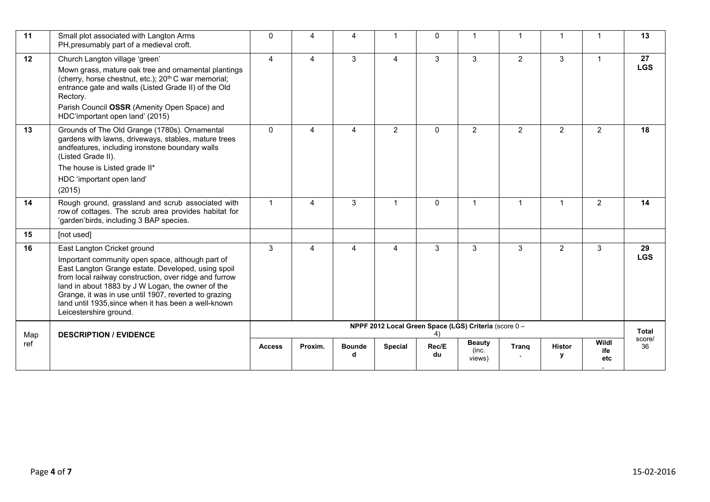| 11  | Small plot associated with Langton Arms<br>PH, presumably part of a medieval croft.                                                                                                                                                                                                                                                                                                             | $\Omega$       | 4       | 4                  | -1                                                    | $\mathbf{0}$ |                                  | $\overline{1}$ |                      |                     | 13               |
|-----|-------------------------------------------------------------------------------------------------------------------------------------------------------------------------------------------------------------------------------------------------------------------------------------------------------------------------------------------------------------------------------------------------|----------------|---------|--------------------|-------------------------------------------------------|--------------|----------------------------------|----------------|----------------------|---------------------|------------------|
| 12  | Church Langton village 'green'<br>Mown grass, mature oak tree and ornamental plantings<br>(cherry, horse chestnut, etc.); 20 <sup>th</sup> C war memorial;<br>entrance gate and walls (Listed Grade II) of the Old<br>Rectory.<br>Parish Council OSSR (Amenity Open Space) and<br>HDC'important open land' (2015)                                                                               | $\overline{4}$ | 4       | 3                  | 4                                                     | 3            | 3                                | $\overline{2}$ | 3                    | $\mathbf 1$         | 27<br><b>LGS</b> |
| 13  | Grounds of The Old Grange (1780s). Ornamental<br>gardens with lawns, driveways, stables, mature trees<br>andfeatures, including ironstone boundary walls<br>(Listed Grade II).<br>The house is Listed grade II*<br>HDC 'important open land'<br>(2015)                                                                                                                                          | $\Omega$       | 4       | 4                  | $\overline{2}$                                        | $\mathbf{0}$ | $\overline{2}$                   | $\overline{2}$ | $\overline{2}$       | $\overline{2}$      | 18               |
| 14  | Rough ground, grassland and scrub associated with<br>row of cottages. The scrub area provides habitat for<br>'garden'birds, including 3 BAP species.                                                                                                                                                                                                                                            | $\mathbf{1}$   | 4       | 3                  | 1                                                     | $\mathbf{0}$ | 1                                | $\overline{1}$ | $\blacktriangleleft$ | $\overline{2}$      | 14               |
| 15  | [not used]                                                                                                                                                                                                                                                                                                                                                                                      |                |         |                    |                                                       |              |                                  |                |                      |                     |                  |
| 16  | East Langton Cricket ground<br>Important community open space, although part of<br>East Langton Grange estate. Developed, using spoil<br>from local railway construction, over ridge and furrow<br>land in about 1883 by J W Logan, the owner of the<br>Grange, it was in use until 1907, reverted to grazing<br>land until 1935, since when it has been a well-known<br>Leicestershire ground. | 3              | 4       | 4                  | 4                                                     | 3            | 3                                | 3              | $\overline{2}$       | $\mathbf{3}$        | 29<br><b>LGS</b> |
| Map | <b>DESCRIPTION / EVIDENCE</b>                                                                                                                                                                                                                                                                                                                                                                   |                |         |                    | NPPF 2012 Local Green Space (LGS) Criteria (score 0 - |              |                                  |                |                      |                     | <b>Total</b>     |
| ref |                                                                                                                                                                                                                                                                                                                                                                                                 | <b>Access</b>  | Proxim. | <b>Bounde</b><br>d | <b>Special</b>                                        | Rec/E<br>du  | <b>Beauty</b><br>(inc.<br>views) | Trang          | <b>Histor</b><br>۷   | Wildl<br>ife<br>etc | score/<br>36     |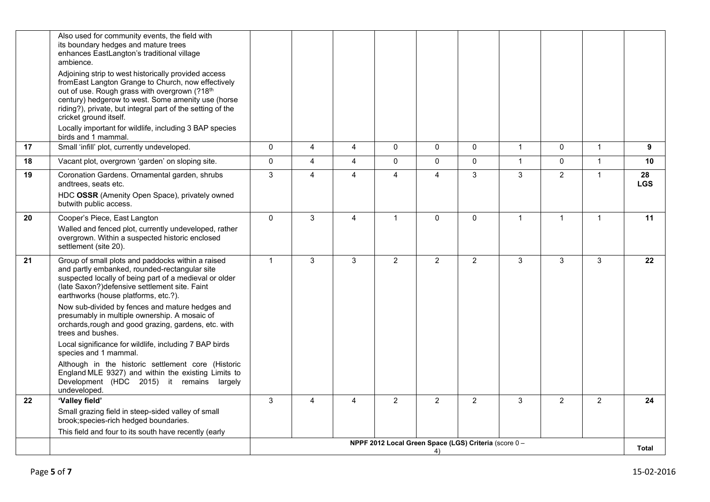|    | Also used for community events, the field with<br>its boundary hedges and mature trees<br>enhances EastLangton's traditional village<br>ambience.<br>Adjoining strip to west historically provided access<br>from East Langton Grange to Church, now effectively<br>out of use. Rough grass with overgrown (?18th<br>century) hedgerow to west. Some amenity use (horse<br>riding?), private, but integral part of the setting of the<br>cricket ground itself.<br>Locally important for wildlife, including 3 BAP species<br>birds and 1 mammal.                                                                                                                                    |              |                |                |                                                       |                |                |              |                |                |                  |
|----|--------------------------------------------------------------------------------------------------------------------------------------------------------------------------------------------------------------------------------------------------------------------------------------------------------------------------------------------------------------------------------------------------------------------------------------------------------------------------------------------------------------------------------------------------------------------------------------------------------------------------------------------------------------------------------------|--------------|----------------|----------------|-------------------------------------------------------|----------------|----------------|--------------|----------------|----------------|------------------|
| 17 | Small 'infill' plot, currently undeveloped.                                                                                                                                                                                                                                                                                                                                                                                                                                                                                                                                                                                                                                          | $\mathbf 0$  | $\overline{4}$ | 4              | $\pmb{0}$                                             | $\mathbf 0$    | $\mathbf 0$    | $\mathbf{1}$ | $\mathbf{0}$   | $\mathbf{1}$   | 9                |
| 18 | Vacant plot, overgrown 'garden' on sloping site.                                                                                                                                                                                                                                                                                                                                                                                                                                                                                                                                                                                                                                     | $\mathbf 0$  | $\overline{4}$ | $\overline{4}$ | $\pmb{0}$                                             | $\mathbf 0$    | $\mathbf 0$    | $\mathbf{1}$ | $\mathbf{0}$   | $\mathbf{1}$   | 10               |
| 19 | Coronation Gardens. Ornamental garden, shrubs<br>andtrees, seats etc.<br>HDC OSSR (Amenity Open Space), privately owned<br>butwith public access.                                                                                                                                                                                                                                                                                                                                                                                                                                                                                                                                    | $\mathbf{3}$ | $\overline{4}$ | $\overline{A}$ | 4                                                     | $\overline{4}$ | 3              | 3            | $\overline{2}$ | $\mathbf{1}$   | 28<br><b>LGS</b> |
| 20 | Cooper's Piece, East Langton<br>Walled and fenced plot, currently undeveloped, rather<br>overgrown. Within a suspected historic enclosed<br>settlement (site 20).                                                                                                                                                                                                                                                                                                                                                                                                                                                                                                                    | $\mathbf{0}$ | 3              | $\overline{4}$ | $\mathbf{1}$                                          | $\mathbf{0}$   | $\mathbf{0}$   | $\mathbf{1}$ | $\overline{1}$ | $\mathbf{1}$   | 11               |
| 21 | Group of small plots and paddocks within a raised<br>and partly embanked, rounded-rectangular site<br>suspected locally of being part of a medieval or older<br>(late Saxon?) defensive settlement site. Faint<br>earthworks (house platforms, etc.?).<br>Now sub-divided by fences and mature hedges and<br>presumably in multiple ownership. A mosaic of<br>orchards, rough and good grazing, gardens, etc. with<br>trees and bushes.<br>Local significance for wildlife, including 7 BAP birds<br>species and 1 mammal.<br>Although in the historic settlement core (Historic<br>England MLE 9327) and within the existing Limits to<br>Development (HDC 2015) it remains largely | $\mathbf{1}$ | 3              | 3              | $\overline{2}$                                        | $\overline{2}$ | $\overline{2}$ | 3            | 3              | 3              | 22               |
| 22 | undeveloped.<br>'Valley field'                                                                                                                                                                                                                                                                                                                                                                                                                                                                                                                                                                                                                                                       | 3            | $\overline{4}$ | $\overline{4}$ | $\overline{2}$                                        | $\overline{2}$ | 2              | 3            | $\overline{2}$ | $\overline{2}$ | 24               |
|    | Small grazing field in steep-sided valley of small<br>brook; species-rich hedged boundaries.<br>This field and four to its south have recently (early                                                                                                                                                                                                                                                                                                                                                                                                                                                                                                                                |              |                |                |                                                       |                |                |              |                |                |                  |
|    |                                                                                                                                                                                                                                                                                                                                                                                                                                                                                                                                                                                                                                                                                      |              |                |                | NPPF 2012 Local Green Space (LGS) Criteria (score 0 - | 4)             |                |              |                |                | <b>Total</b>     |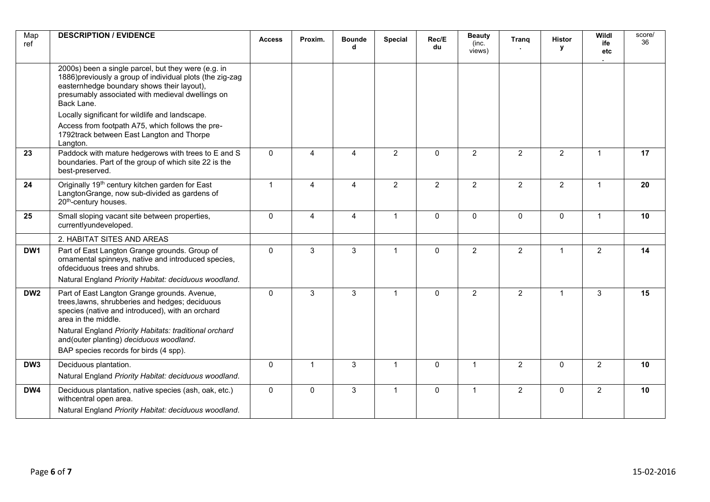| Map<br>ref      | <b>DESCRIPTION / EVIDENCE</b>                                                                                                                                                                                                    | <b>Access</b> | Proxim.        | <b>Bounde</b><br>d | Special        | Rec/E<br>du    | <b>Beauty</b><br>(inc.<br>views) | Trang          | <b>Histor</b><br><b>y</b> | Wildl<br>ife<br>etc | score/<br>36 |
|-----------------|----------------------------------------------------------------------------------------------------------------------------------------------------------------------------------------------------------------------------------|---------------|----------------|--------------------|----------------|----------------|----------------------------------|----------------|---------------------------|---------------------|--------------|
|                 | 2000s) been a single parcel, but they were (e.g. in<br>1886) previously a group of individual plots (the zig-zag<br>easternhedge boundary shows their layout),<br>presumably associated with medieval dwellings on<br>Back Lane. |               |                |                    |                |                |                                  |                |                           |                     |              |
|                 | Locally significant for wildlife and landscape.<br>Access from footpath A75, which follows the pre-<br>1792track between East Langton and Thorpe<br>Langton.                                                                     |               |                |                    |                |                |                                  |                |                           |                     |              |
| 23              | Paddock with mature hedgerows with trees to E and S<br>boundaries. Part of the group of which site 22 is the<br>best-preserved.                                                                                                  | $\mathbf 0$   | $\overline{4}$ | $\overline{4}$     | $\overline{2}$ | $\mathbf 0$    | $\overline{2}$                   | $\overline{2}$ | $\overline{2}$            | $\mathbf{1}$        | 17           |
| 24              | Originally 19 <sup>th</sup> century kitchen garden for East<br>Langton Grange, now sub-divided as gardens of<br>20 <sup>th</sup> -century houses.                                                                                | $\mathbf{1}$  | $\overline{4}$ | 4                  | $\overline{2}$ | $\overline{2}$ | $\overline{2}$                   | $\overline{2}$ | $\overline{2}$            | $\mathbf{1}$        | 20           |
| 25              | Small sloping vacant site between properties,<br>currentlyundeveloped.                                                                                                                                                           | $\mathbf 0$   | $\overline{4}$ | $\overline{4}$     | $\mathbf{1}$   | $\mathbf 0$    | $\mathbf 0$                      | $\pmb{0}$      | $\mathbf 0$               | $\mathbf{1}$        | 10           |
|                 | 2. HABITAT SITES AND AREAS                                                                                                                                                                                                       |               |                |                    |                |                |                                  |                |                           |                     |              |
| DW <sub>1</sub> | Part of East Langton Grange grounds. Group of<br>ornamental spinneys, native and introduced species,<br>ofdeciduous trees and shrubs.<br>Natural England Priority Habitat: deciduous woodland.                                   | $\mathbf 0$   | 3              | $\mathbf{3}$       | $\mathbf{1}$   | $\mathbf 0$    | $\overline{2}$                   | $\overline{2}$ | $\mathbf{1}$              | $\overline{2}$      | 14           |
| DW <sub>2</sub> | Part of East Langton Grange grounds. Avenue,<br>trees, lawns, shrubberies and hedges; deciduous<br>species (native and introduced), with an orchard<br>area in the middle.                                                       | $\Omega$      | 3              | 3                  | $\overline{1}$ | $\Omega$       | $\overline{2}$                   | $\overline{2}$ | $\mathbf{1}$              | 3                   | 15           |
|                 | Natural England Priority Habitats: traditional orchard<br>and(outer planting) deciduous woodland.<br>BAP species records for birds (4 spp).                                                                                      |               |                |                    |                |                |                                  |                |                           |                     |              |
| DW <sub>3</sub> | Deciduous plantation.<br>Natural England Priority Habitat: deciduous woodland.                                                                                                                                                   | $\mathbf 0$   | $\mathbf{1}$   | 3                  | $\mathbf{1}$   | $\mathbf 0$    | $\mathbf{1}$                     | $\overline{2}$ | $\mathbf{0}$              | $\overline{2}$      | 10           |
| DW4             | Deciduous plantation, native species (ash, oak, etc.)<br>withcentral open area.<br>Natural England Priority Habitat: deciduous woodland.                                                                                         | $\mathbf{0}$  | $\mathbf 0$    | 3                  | $\mathbf{1}$   | $\mathbf{0}$   | $\mathbf{1}$                     | $\overline{2}$ | $\mathbf{0}$              | $\overline{2}$      | 10           |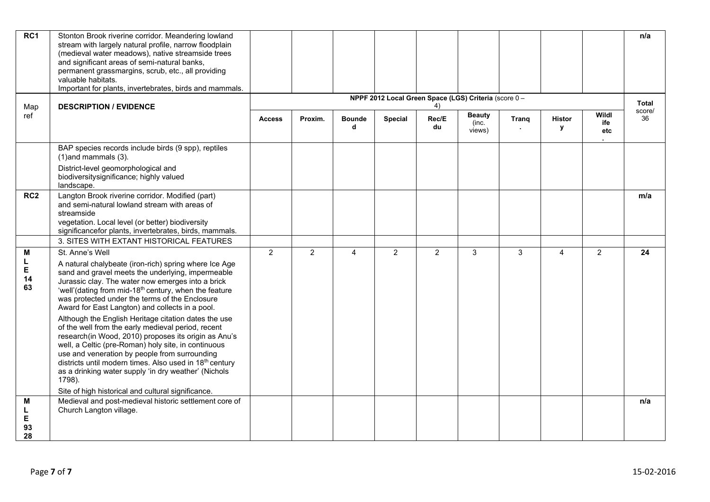| RC1                     | Stonton Brook riverine corridor. Meandering lowland<br>stream with largely natural profile, narrow floodplain<br>(medieval water meadows), native streamside trees<br>and significant areas of semi-natural banks,<br>permanent grassmargins, scrub, etc., all providing<br>valuable habitats.<br>Important for plants, invertebrates, birds and mammals.                                                                                                                                                                                                                                                                                                                                                                                                                                                                     |                |                |                    |                                                       |                |                                  |              |                |                     | n/a          |
|-------------------------|-------------------------------------------------------------------------------------------------------------------------------------------------------------------------------------------------------------------------------------------------------------------------------------------------------------------------------------------------------------------------------------------------------------------------------------------------------------------------------------------------------------------------------------------------------------------------------------------------------------------------------------------------------------------------------------------------------------------------------------------------------------------------------------------------------------------------------|----------------|----------------|--------------------|-------------------------------------------------------|----------------|----------------------------------|--------------|----------------|---------------------|--------------|
| Map                     | <b>DESCRIPTION / EVIDENCE</b>                                                                                                                                                                                                                                                                                                                                                                                                                                                                                                                                                                                                                                                                                                                                                                                                 |                |                |                    | NPPF 2012 Local Green Space (LGS) Criteria (score 0 - | 4)             |                                  |              |                |                     | Total        |
| ref                     |                                                                                                                                                                                                                                                                                                                                                                                                                                                                                                                                                                                                                                                                                                                                                                                                                               | <b>Access</b>  | Proxim.        | <b>Bounde</b><br>d | <b>Special</b>                                        | Rec/E<br>du    | <b>Beauty</b><br>(inc.<br>views) | Trang        | Histor<br>У    | Wildl<br>ife<br>etc | score/<br>36 |
|                         | BAP species records include birds (9 spp), reptiles<br>$(1)$ and mammals $(3)$ .                                                                                                                                                                                                                                                                                                                                                                                                                                                                                                                                                                                                                                                                                                                                              |                |                |                    |                                                       |                |                                  |              |                |                     |              |
|                         | District-level geomorphological and<br>biodiversitysignificance; highly valued<br>landscape.                                                                                                                                                                                                                                                                                                                                                                                                                                                                                                                                                                                                                                                                                                                                  |                |                |                    |                                                       |                |                                  |              |                |                     |              |
| RC <sub>2</sub>         | Langton Brook riverine corridor. Modified (part)<br>and semi-natural lowland stream with areas of<br>streamside<br>vegetation. Local level (or better) biodiversity<br>significancefor plants, invertebrates, birds, mammals.                                                                                                                                                                                                                                                                                                                                                                                                                                                                                                                                                                                                 |                |                |                    |                                                       |                |                                  |              |                |                     | m/a          |
|                         | 3. SITES WITH EXTANT HISTORICAL FEATURES                                                                                                                                                                                                                                                                                                                                                                                                                                                                                                                                                                                                                                                                                                                                                                                      |                |                |                    |                                                       |                |                                  |              |                |                     |              |
| M<br>L<br>Е<br>14<br>63 | St. Anne's Well<br>A natural chalybeate (iron-rich) spring where Ice Age<br>sand and gravel meets the underlying, impermeable<br>Jurassic clay. The water now emerges into a brick<br>'well'(dating from mid-18 <sup>th</sup> century, when the feature<br>was protected under the terms of the Enclosure<br>Award for East Langton) and collects in a pool.<br>Although the English Heritage citation dates the use<br>of the well from the early medieval period, recent<br>research(in Wood, 2010) proposes its origin as Anu's<br>well, a Celtic (pre-Roman) holy site, in continuous<br>use and veneration by people from surrounding<br>districts until modern times. Also used in 18th century<br>as a drinking water supply 'in dry weather' (Nichols<br>1798).<br>Site of high historical and cultural significance. | $\overline{2}$ | $\overline{2}$ | 4                  | $\overline{2}$                                        | $\overline{2}$ | $\mathbf{3}$                     | $\mathbf{3}$ | $\overline{4}$ | $\overline{2}$      | 24           |
| M                       | Medieval and post-medieval historic settlement core of                                                                                                                                                                                                                                                                                                                                                                                                                                                                                                                                                                                                                                                                                                                                                                        |                |                |                    |                                                       |                |                                  |              |                |                     | n/a          |
| L<br>Е<br>93<br>28      | Church Langton village.                                                                                                                                                                                                                                                                                                                                                                                                                                                                                                                                                                                                                                                                                                                                                                                                       |                |                |                    |                                                       |                |                                  |              |                |                     |              |